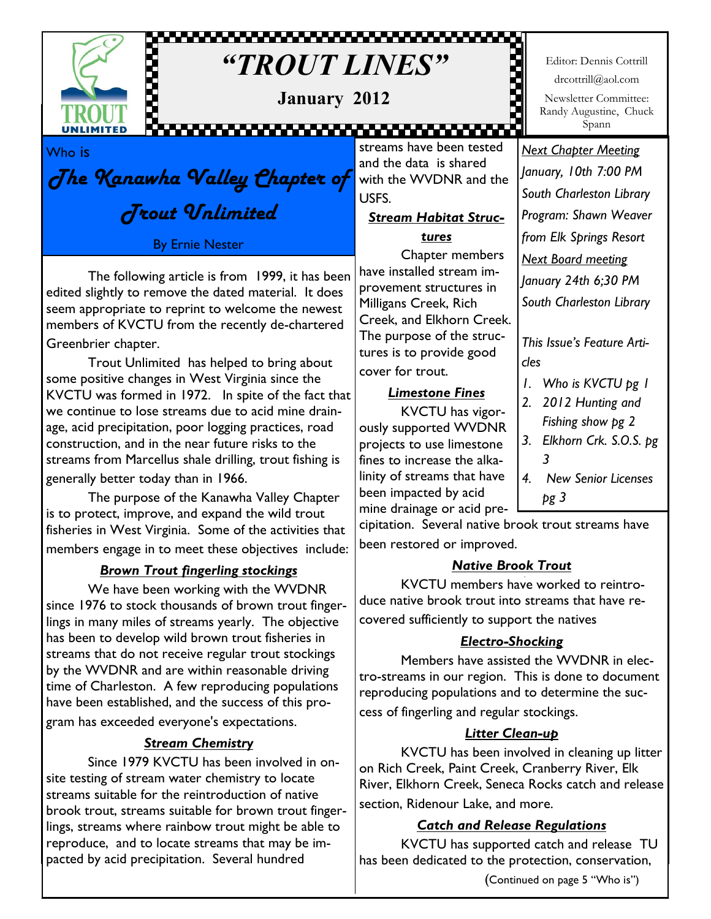

# ,,,,,,,,,,,,,,,,,,,,,,,,,,,,,,,,,,,, *"TROUT LINES"*

**January 2012**

Editor: Dennis Cottrill drcottrill@aol.com Newsletter Committee: Randy Augustine, Chuck Spann

ğ

Who is

The Kanawha Valley Chapter of Trout Unlimited

By Ernie Nester

The following article is from 1999, it has been edited slightly to remove the dated material. It does seem appropriate to reprint to welcome the newest members of KVCTU from the recently de-chartered Greenbrier chapter.

Trout Unlimited has helped to bring about some positive changes in West Virginia since the KVCTU was formed in 1972. In spite of the fact that we continue to lose streams due to acid mine drainage, acid precipitation, poor logging practices, road construction, and in the near future risks to the streams from Marcellus shale drilling, trout fishing is generally better today than in 1966.

The purpose of the Kanawha Valley Chapter is to protect, improve, and expand the wild trout fisheries in West Virginia. Some of the activities that members engage in to meet these objectives include:

## *Brown Trout fingerling stockings*

We have been working with the WVDNR since 1976 to stock thousands of brown trout fingerlings in many miles of streams yearly. The objective has been to develop wild brown trout fisheries in streams that do not receive regular trout stockings by the WVDNR and are within reasonable driving time of Charleston. A few reproducing populations have been established, and the success of this program has exceeded everyone's expectations.

## *Stream Chemistry*

Since 1979 KVCTU has been involved in onsite testing of stream water chemistry to locate streams suitable for the reintroduction of native brook trout, streams suitable for brown trout fingerlings, streams where rainbow trout might be able to reproduce, and to locate streams that may be impacted by acid precipitation. Several hundred

,,,,,,,,,,,,,,,,,,,,,,,,,,,, streams have been tested and the data is shared with the WVDNR and the USFS.

# *Stream Habitat Struc-*

*tures*

Chapter members have installed stream improvement structures in Milligans Creek, Rich Creek, and Elkhorn Creek. The purpose of the structures is to provide good cover for trout.

#### *Limestone Fines*

KVCTU has vigorously supported WVDNR projects to use limestone fines to increase the alkalinity of streams that have been impacted by acid mine drainage or acid pre-

*Next Chapter Meeting January, 10th 7:00 PM South Charleston Library Program: Shawn Weaver from Elk Springs Resort Next Board meeting January 24th 6;30 PM South Charleston Library*

*This Issue's Feature Articles*

- *1. Who is KVCTU pg 1*
- *2. 2012 Hunting and Fishing show pg 2*
- *3. Elkhorn Crk. S.O.S. pg 3*
- *4. New Senior Licenses pg 3*

cipitation. Several native brook trout streams have been restored or improved.

## *Native Brook Trout*

KVCTU members have worked to reintroduce native brook trout into streams that have recovered sufficiently to support the natives

## *Electro-Shocking*

Members have assisted the WVDNR in electro-streams in our region. This is done to document reproducing populations and to determine the success of fingerling and regular stockings.

## *Litter Clean-up*

KVCTU has been involved in cleaning up litter on Rich Creek, Paint Creek, Cranberry River, Elk River, Elkhorn Creek, Seneca Rocks catch and release section, Ridenour Lake, and more.

## *Catch and Release Regulations*

KVCTU has supported catch and release TU has been dedicated to the protection, conservation,

(Continued on page 5 "Who is")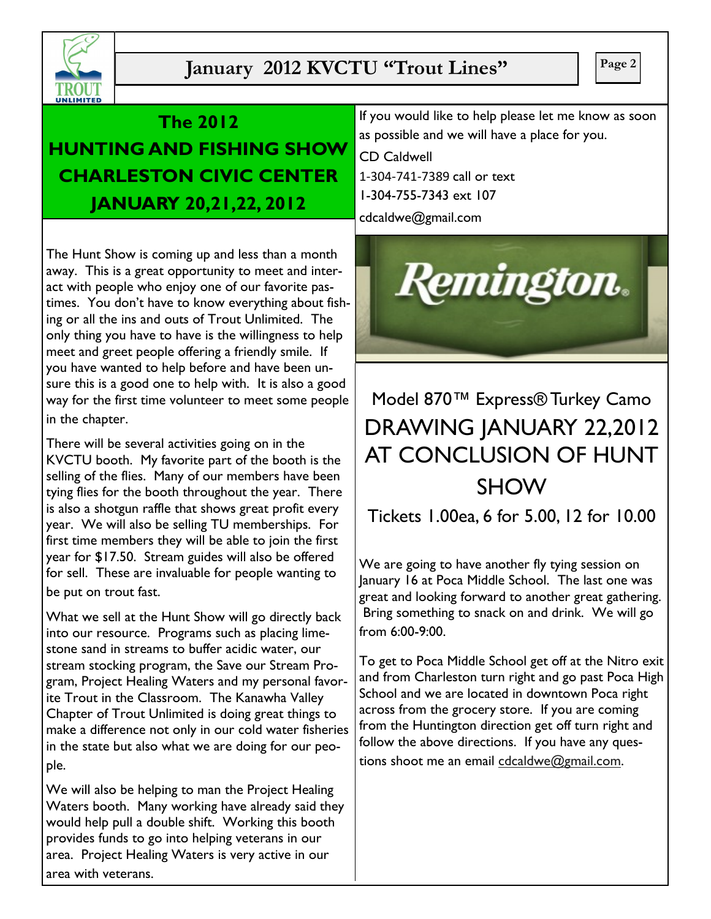

# **January 2012 KVCTU "Trout Lines"** |  $\begin{array}{|c|c|c|c|c|} \hline \end{array}$  Page 2

## **The 2012**

**HUNTING AND FISHING SHOW CHARLESTON CIVIC CENTER JANUARY 20,21,22, 2012**

The Hunt Show is coming up and less than a month away. This is a great opportunity to meet and interact with people who enjoy one of our favorite pastimes. You don't have to know everything about fishing or all the ins and outs of Trout Unlimited. The only thing you have to have is the willingness to help meet and greet people offering a friendly smile. If you have wanted to help before and have been unsure this is a good one to help with. It is also a good way for the first time volunteer to meet some people in the chapter.

There will be several activities going on in the KVCTU booth. My favorite part of the booth is the selling of the flies. Many of our members have been tying flies for the booth throughout the year. There is also a shotgun raffle that shows great profit every year. We will also be selling TU memberships. For first time members they will be able to join the first year for \$17.50. Stream guides will also be offered for sell. These are invaluable for people wanting to be put on trout fast.

What we sell at the Hunt Show will go directly back into our resource. Programs such as placing limestone sand in streams to buffer acidic water, our stream stocking program, the Save our Stream Program, Project Healing Waters and my personal favorite Trout in the Classroom. The Kanawha Valley Chapter of Trout Unlimited is doing great things to make a difference not only in our cold water fisheries in the state but also what we are doing for our people.

We will also be helping to man the Project Healing Waters booth. Many working have already said they would help pull a double shift. Working this booth provides funds to go into helping veterans in our area. Project Healing Waters is very active in our area with veterans.

If you would like to help please let me know as soon as possible and we will have a place for you.

CD Caldwell 1-304-741-7389 call or text 1-304-755-7343 ext 107

cdcaldwe@gmail.com



# Model 870™ Express® Turkey Camo DRAWING JANUARY 22,2012 AT CONCLUSION OF HUNT SHOW

Tickets 1.00ea, 6 for 5.00, 12 for 10.00

We are going to have another fly tying session on January 16 at Poca Middle School. The last one was great and looking forward to another great gathering. Bring something to snack on and drink. We will go from 6:00-9:00.

To get to Poca Middle School get off at the Nitro exit and from Charleston turn right and go past Poca High School and we are located in downtown Poca right across from the grocery store. If you are coming from the Huntington direction get off turn right and follow the above directions. If you have any questions shoot me an email cdcaldwe@gmail.com.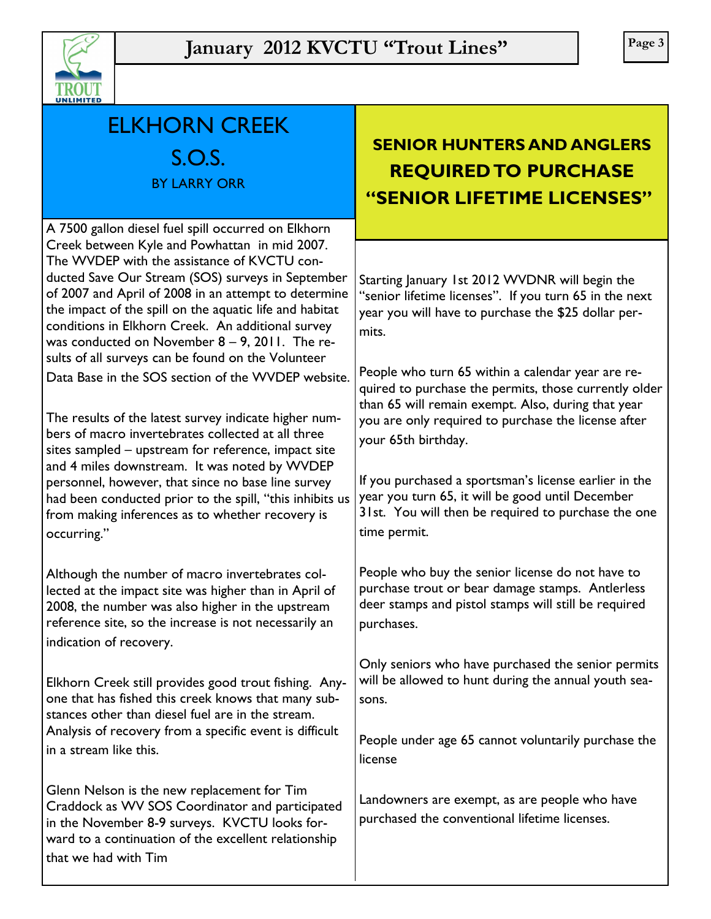

| UNLIMITED                                                                                                                                                                                                                                                                                                                                                                                                                            |                                                                                                                                                                                                                                                                |  |
|--------------------------------------------------------------------------------------------------------------------------------------------------------------------------------------------------------------------------------------------------------------------------------------------------------------------------------------------------------------------------------------------------------------------------------------|----------------------------------------------------------------------------------------------------------------------------------------------------------------------------------------------------------------------------------------------------------------|--|
| <b>ELKHORN CREEK</b><br>S.O.S.<br><b>BY LARRY ORR</b>                                                                                                                                                                                                                                                                                                                                                                                | <b>SENIOR HUNTERS AND ANGLERS</b><br><b>REQUIRED TO PURCHASE</b><br>"SENIOR LIFETIME LICENSES"                                                                                                                                                                 |  |
| A 7500 gallon diesel fuel spill occurred on Elkhorn                                                                                                                                                                                                                                                                                                                                                                                  |                                                                                                                                                                                                                                                                |  |
| Creek between Kyle and Powhattan in mid 2007.<br>The WVDEP with the assistance of KVCTU con-<br>ducted Save Our Stream (SOS) surveys in September<br>of 2007 and April of 2008 in an attempt to determine<br>the impact of the spill on the aquatic life and habitat<br>conditions in Elkhorn Creek. An additional survey<br>was conducted on November $8 - 9$ , 2011. The re-<br>sults of all surveys can be found on the Volunteer | Starting January 1st 2012 WVDNR will begin the<br>"senior lifetime licenses". If you turn 65 in the next<br>year you will have to purchase the \$25 dollar per-<br>mits.                                                                                       |  |
| Data Base in the SOS section of the WVDEP website.<br>The results of the latest survey indicate higher num-                                                                                                                                                                                                                                                                                                                          | People who turn 65 within a calendar year are re-<br>quired to purchase the permits, those currently older<br>than 65 will remain exempt. Also, during that year                                                                                               |  |
| bers of macro invertebrates collected at all three<br>sites sampled - upstream for reference, impact site<br>and 4 miles downstream. It was noted by WVDEP<br>personnel, however, that since no base line survey<br>had been conducted prior to the spill, "this inhibits us<br>from making inferences as to whether recovery is<br>occurring."                                                                                      | you are only required to purchase the license after<br>your 65th birthday.<br>If you purchased a sportsman's license earlier in the<br>year you turn 65, it will be good until December<br>31st. You will then be required to purchase the one<br>time permit. |  |
| Although the number of macro invertebrates col-<br>lected at the impact site was higher than in April of<br>2008, the number was also higher in the upstream<br>reference site, so the increase is not necessarily an<br>indication of recovery.                                                                                                                                                                                     | People who buy the senior license do not have to<br>purchase trout or bear damage stamps. Antlerless<br>deer stamps and pistol stamps will still be required<br>purchases.                                                                                     |  |
| Elkhorn Creek still provides good trout fishing. Any-<br>one that has fished this creek knows that many sub-<br>stances other than diesel fuel are in the stream.<br>Analysis of recovery from a specific event is difficult<br>in a stream like this.                                                                                                                                                                               | Only seniors who have purchased the senior permits<br>will be allowed to hunt during the annual youth sea-<br>sons.                                                                                                                                            |  |
|                                                                                                                                                                                                                                                                                                                                                                                                                                      | People under age 65 cannot voluntarily purchase the<br>license                                                                                                                                                                                                 |  |
| Glenn Nelson is the new replacement for Tim<br>Craddock as WV SOS Coordinator and participated<br>in the November 8-9 surveys. KVCTU looks for-<br>ward to a continuation of the excellent relationship<br>that we had with Tim                                                                                                                                                                                                      | Landowners are exempt, as are people who have<br>purchased the conventional lifetime licenses.                                                                                                                                                                 |  |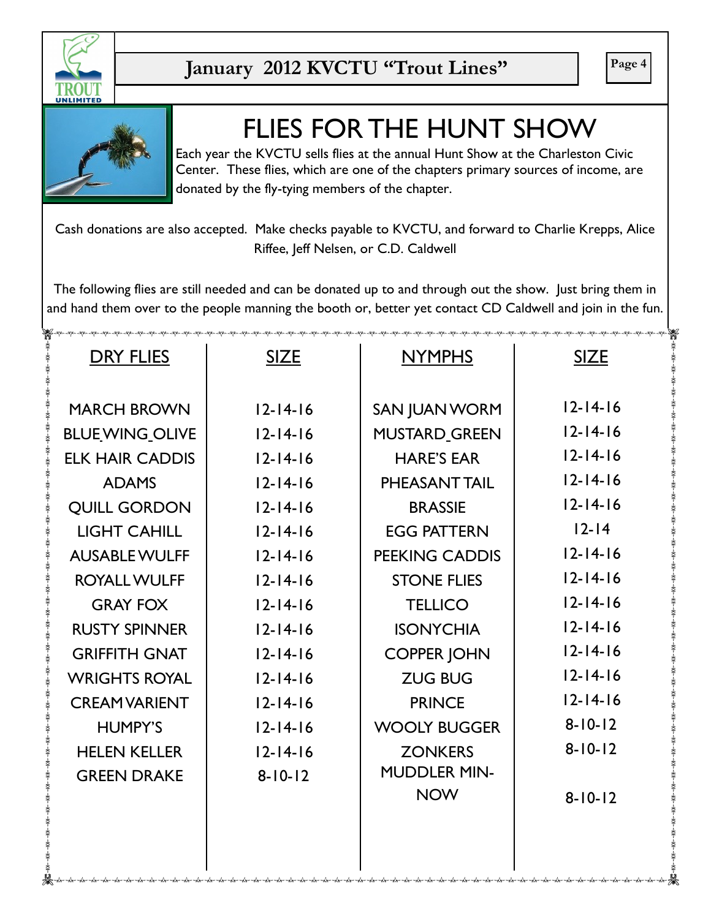



# FLIES FOR THE HUNT SHOW

Each year the KVCTU sells flies at the annual Hunt Show at the Charleston Civic Center. These flies, which are one of the chapters primary sources of income, are donated by the fly-tying members of the chapter.

Cash donations are also accepted. Make checks payable to KVCTU, and forward to Charlie Krepps, Alice Riffee, Jeff Nelsen, or C.D. Caldwell

The following flies are still needed and can be donated up to and through out the show. Just bring them in and hand them over to the people manning the booth or, better yet contact CD Caldwell and join in the fun.

| <b>DRY FLIES</b>       | <b>SIZE</b>    | <b>NYMPHS</b>         | <b>SIZE</b>    |
|------------------------|----------------|-----------------------|----------------|
|                        |                |                       |                |
| <b>MARCH BROWN</b>     | $12 - 14 - 16$ | <b>SAN JUAN WORM</b>  | $12 - 14 - 16$ |
| <b>BLUE WING_OLIVE</b> | $12 - 14 - 16$ | <b>MUSTARD GREEN</b>  | $12 - 14 - 16$ |
| <b>ELK HAIR CADDIS</b> | $12 - 14 - 16$ | <b>HARE'S EAR</b>     | $12 - 14 - 16$ |
| <b>ADAMS</b>           | $12 - 14 - 16$ | PHEASANT TAIL         | $12 - 14 - 16$ |
| <b>QUILL GORDON</b>    | $12 - 14 - 16$ | <b>BRASSIE</b>        | $12 - 14 - 16$ |
| <b>LIGHT CAHILL</b>    | $12 - 14 - 16$ | <b>EGG PATTERN</b>    | $12 - 14$      |
| <b>AUSABLE WULFF</b>   | $12 - 14 - 16$ | <b>PEEKING CADDIS</b> | $12 - 14 - 16$ |
| <b>ROYALL WULFF</b>    | $12 - 14 - 16$ | <b>STONE FLIES</b>    | $12 - 14 - 16$ |
| <b>GRAY FOX</b>        | $12 - 14 - 16$ | <b>TELLICO</b>        | $12 - 14 - 16$ |
| <b>RUSTY SPINNER</b>   | $12 - 14 - 16$ | <b>ISONYCHIA</b>      | $12 - 14 - 16$ |
| <b>GRIFFITH GNAT</b>   | $12 - 14 - 16$ | <b>COPPER JOHN</b>    | $12 - 14 - 16$ |
| <b>WRIGHTS ROYAL</b>   | $12 - 14 - 16$ | <b>ZUG BUG</b>        | $12 - 14 - 16$ |
| <b>CREAMVARIENT</b>    | $12 - 14 - 16$ | <b>PRINCE</b>         | $12 - 14 - 16$ |
| <b>HUMPY'S</b>         | $12 - 14 - 16$ | <b>WOOLY BUGGER</b>   | $8 - 10 - 12$  |
| <b>HELEN KELLER</b>    | $12 - 14 - 16$ | <b>ZONKERS</b>        | $8 - 10 - 12$  |
| <b>GREEN DRAKE</b>     | $8 - 10 - 12$  | <b>MUDDLER MIN-</b>   |                |
|                        |                | <b>NOW</b>            | $8 - 10 - 12$  |
|                        |                |                       |                |
|                        |                |                       |                |
|                        |                |                       |                |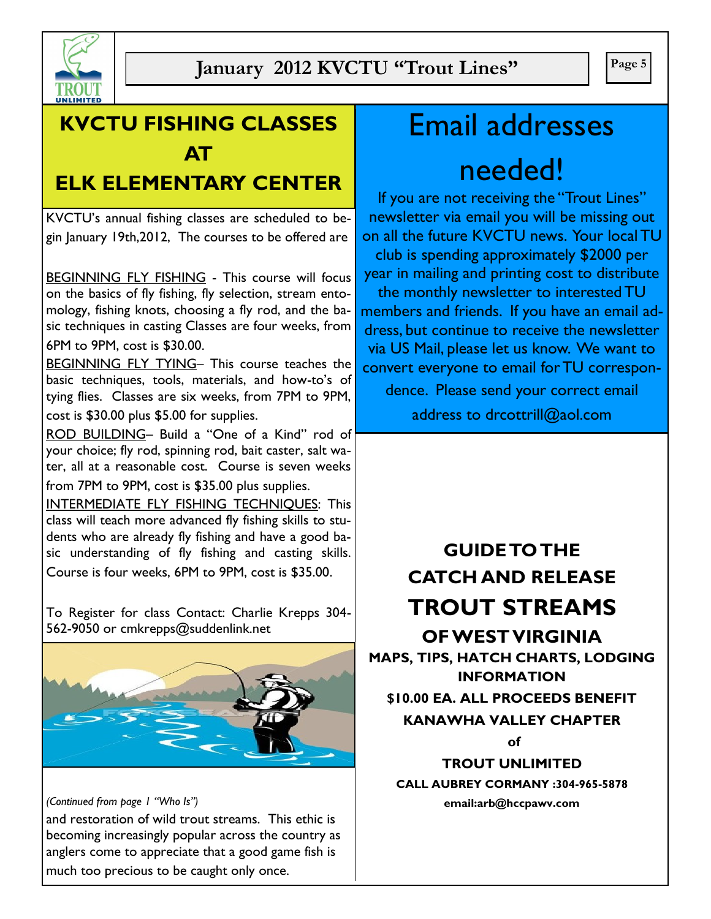

# **KVCTU FISHING CLASSES AT**

# **ELK ELEMENTARY CENTER**

KVCTU's annual fishing classes are scheduled to begin January 19th,2012, The courses to be offered are

BEGINNING FLY FISHING - This course will focus on the basics of fly fishing, fly selection, stream entomology, fishing knots, choosing a fly rod, and the basic techniques in casting Classes are four weeks, from 6PM to 9PM, cost is \$30.00.

BEGINNING FLY TYING– This course teaches the basic techniques, tools, materials, and how-to's of tying flies. Classes are six weeks, from 7PM to 9PM, cost is \$30.00 plus \$5.00 for supplies.

ROD BUILDING– Build a "One of a Kind" rod of your choice; fly rod, spinning rod, bait caster, salt water, all at a reasonable cost. Course is seven weeks from 7PM to 9PM, cost is \$35.00 plus supplies.

INTERMEDIATE FLY FISHING TECHNIQUES: This class will teach more advanced fly fishing skills to students who are already fly fishing and have a good basic understanding of fly fishing and casting skills. Course is four weeks, 6PM to 9PM, cost is \$35.00.

To Register for class Contact: Charlie Krepps 304- 562-9050 or cmkrepps@suddenlink.net



#### *(Continued from page 1 "Who Is")*

and restoration of wild trout streams. This ethic is becoming increasingly popular across the country as anglers come to appreciate that a good game fish is much too precious to be caught only once.

# Email addresses needed!

If you are not receiving the "Trout Lines" newsletter via email you will be missing out on all the future KVCTU news. Your local TU club is spending approximately \$2000 per year in mailing and printing cost to distribute the monthly newsletter to interested TU members and friends. If you have an email address, but continue to receive the newsletter via US Mail, please let us know. We want to convert everyone to email for TU correspon-

dence. Please send your correct email address to drcottrill@aol.com

# **GUIDE TO THE CATCH AND RELEASE TROUT STREAMS OF WEST VIRGINIA MAPS, TIPS, HATCH CHARTS, LODGING INFORMATION \$10.00 EA. ALL PROCEEDS BENEFIT KANAWHA VALLEY CHAPTER of TROUT UNLIMITED CALL AUBREY CORMANY :304-965-5878**

**email:arb@hccpawv.com**